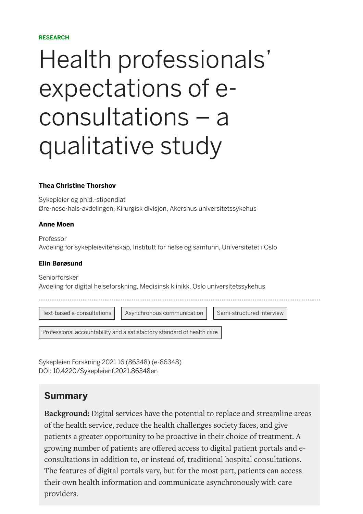#### **RESEARCH**

# Health professionals ' expectations of econsultations – a qualitative study

#### **[Thea Christine Thorshov](https://sykepleien.no/profil/thea-christine-thorshov)**

Sykepleier og ph.d.-stipendiat Øre-nese-hals-avdelingen, Kirurgisk divisjon, Akershus universitetssykehus

#### **[Anne Moen](https://sykepleien.no/profil/anne-moen)**

Professor Avdeling for sykepleievitenskap, Institutt for helse og samfunn, Universitetet i Oslo

#### **[Elin Børøsund](https://sykepleien.no/profil/elin-borosund)**

Seniorforsker Avdeling for digital helseforskning, Medisinsk klinikk, Oslo universitetssykehus

[Text-based e-consultations](https://sykepleien.no/search?search_keys=Text-based) | [Asynchronous communication](https://sykepleien.no/search?search_keys=Asynchronous) | [Semi-structured interview](https://sykepleien.no/search?search_keys=Semi-structured)

[Professional accountability and a satisfactory standard of health care](https://sykepleien.no/search?search_keys=Professional)

Sykepleien Forskning 2021 16 (86348) (e-86348) DOI: [10.4220/Sykepleienf.2021.86348en](https://doi.org/10.4220/Sykepleienf.2021.86348en)

#### **Summary**

**Background:** Digital services have the potential to replace and streamline areas of the health service, reduce the health challenges society faces, and give patients a greater opportunity to be proactive in their choice of treatment. A growing number of patients are offered access to digital patient portals and econsultations in addition to, or instead of, traditional hospital consultations. The features of digital portals vary, but for the most part, patients can access their own health information and communicate asynchronously with care providers.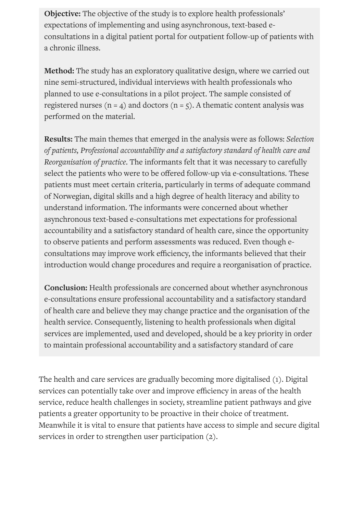**Objective:** The objective of the study is to explore health professionals' expectations of implementing and using asynchronous, text-based econsultations in a digital patient portal for outpatient follow-up of patients with a chronic illness.

**Method:** The study has an exploratory qualitative design, where we carried out nine semi-structured, individual interviews with health professionals who planned to use e-consultations in a pilot project. The sample consisted of registered nurses ( $n = 4$ ) and doctors ( $n = 5$ ). A thematic content analysis was performed on the material.

**Results:** The main themes that emerged in the analysis were as follows: *Selection of patients, Professional accountability and a satisfactory standard of health care and Reorganisation of practice*. The informants felt that it was necessary to carefully select the patients who were to be offered follow-up via e-consultations. These patients must meet certain criteria, particularly in terms of adequate command of Norwegian, digital skills and a high degree of health literacy and ability to understand information. The informants were concerned about whether asynchronous text-based e-consultations met expectations for professional accountability and a satisfactory standard of health care, since the opportunity to observe patients and perform assessments was reduced. Even though econsultations may improve work efficiency, the informants believed that their introduction would change procedures and require a reorganisation of practice.

**Conclusion:** Health professionals are concerned about whether asynchronous e-consultations ensure professional accountability and a satisfactory standard of health care and believe they may change practice and the organisation of the health service. Consequently, listening to health professionals when digital services are implemented, used and developed, should be a key priority in order to maintain professional accountability and a satisfactory standard of care

The health and care services are gradually becoming more digitalised (1). Digital services can potentially take over and improve efficiency in areas of the health service, reduce health challenges in society, streamline patient pathways and give patients a greater opportunity to be proactive in their choice of treatment. Meanwhile it is vital to ensure that patients have access to simple and secure digital services in order to strengthen user participation (2).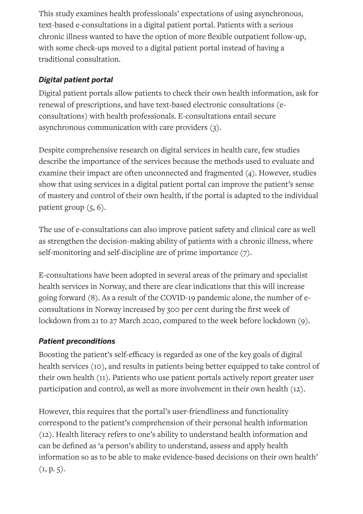This study examines health professionals' expectations of using asynchronous, text-based e-consultations in a digital patient portal. Patients with a serious chronic illness wanted to have the option of more flexible outpatient follow-up, with some check-ups moved to a digital patient portal instead of having a traditional consultation.

## *Digital patient portal*

Digital patient portals allow patients to check their own health information, ask for renewal of prescriptions, and have text-based electronic consultations (econsultations) with health professionals. E-consultations entail secure asynchronous communication with care providers (3).

Despite comprehensive research on digital services in health care, few studies describe the importance of the services because the methods used to evaluate and examine their impact are often unconnected and fragmented (4). However, studies show that using services in a digital patient portal can improve the patient's sense of mastery and control of their own health, if the portal is adapted to the individual patient group  $(5, 6)$ .

The use of e-consultations can also improve patient safety and clinical care as well as strengthen the decision-making ability of patients with a chronic illness, where self-monitoring and self-discipline are of prime importance (7).

E-consultations have been adopted in several areas of the primary and specialist health services in Norway, and there are clear indications that this will increase going forward (8). As a result of the COVID-19 pandemic alone, the number of econsultations in Norway increased by 300 per cent during the first week of lockdown from 21 to 27 March 2020, compared to the week before lockdown (9).

## *Patient preconditions*

Boosting the patient's self-efficacy is regarded as one of the key goals of digital health services (10), and results in patients being better equipped to take control of their own health (11). Patients who use patient portals actively report greater user participation and control, as well as more involvement in their own health (12).

However, this requires that the portal's user-friendliness and functionality correspond to the patient's comprehension of their personal health information (12). Health literacy refers to one's ability to understand health information and can be defined as 'a person's ability to understand, assess and apply health information so as to be able to make evidence-based decisions on their own health'  $(1, p. 5).$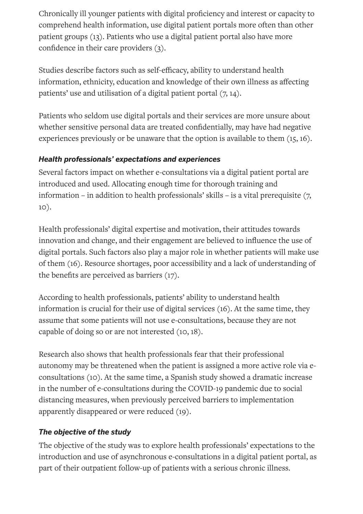Chronically ill younger patients with digital proficiency and interest or capacity to comprehend health information, use digital patient portals more often than other patient groups (13). Patients who use a digital patient portal also have more confidence in their care providers  $(3)$ .

Studies describe factors such as self-efficacy, ability to understand health information, ethnicity, education and knowledge of their own illness as affecting patients' use and utilisation of a digital patient portal (7, 14).

Patients who seldom use digital portals and their services are more unsure about whether sensitive personal data are treated confidentially, may have had negative experiences previously or be unaware that the option is available to them (15, 16).

#### *Health professionals' expectations and experiences*

Several factors impact on whether e-consultations via a digital patient portal are introduced and used. Allocating enough time for thorough training and information – in addition to health professionals' skills – is a vital prerequisite (7, 10).

Health professionals' digital expertise and motivation, their attitudes towards innovation and change, and their engagement are believed to influence the use of digital portals. Such factors also play a major role in whether patients will make use of them (16). Resource shortages, poor accessibility and a lack of understanding of the benefits are perceived as barriers  $(17)$ .

According to health professionals, patients' ability to understand health information is crucial for their use of digital services (16). At the same time, they assume that some patients will not use e-consultations, because they are not capable of doing so or are not interested (10, 18).

Research also shows that health professionals fear that their professional autonomy may be threatened when the patient is assigned a more active role via econsultations (10). At the same time, a Spanish study showed a dramatic increase in the number of e-consultations during the COVID-19 pandemic due to social distancing measures, when previously perceived barriers to implementation apparently disappeared or were reduced (19).

### *The objective of the study*

The objective of the study was to explore health professionals' expectations to the introduction and use of asynchronous e-consultations in a digital patient portal, as part of their outpatient follow-up of patients with a serious chronic illness.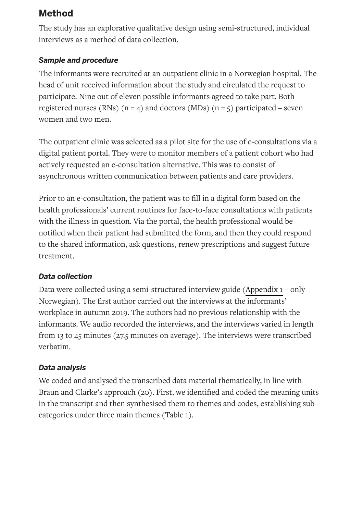## **Method**

The study has an explorative qualitative design using semi-structured, individual interviews as a method of data collection.

## *Sample and procedure*

The informants were recruited at an outpatient clinic in a Norwegian hospital. The head of unit received information about the study and circulated the request to participate. Nine out of eleven possible informants agreed to take part. Both registered nurses (RNs)  $(n = 4)$  and doctors (MDs)  $(n = 5)$  participated – seven women and two men.

The outpatient clinic was selected as a pilot site for the use of e-consultations via a digital patient portal. They were to monitor members of a patient cohort who had actively requested an e-consultation alternative. This was to consist of asynchronous written communication between patients and care providers.

Prior to an e-consultation, the patient was to fill in a digital form based on the health professionals' current routines for face-to-face consultations with patients with the illness in question. Via the portal, the health professional would be notified when their patient had submitted the form, and then they could respond to the shared information, ask questions, renew prescriptions and suggest future treatment.

### *Data collection*

Data were collected using a semi-structured interview guide ([Appendix](https://sykepleien.no/sites/default/files/2021-06/Thorshov_Vedlegg%201_Intervjuguide.docx) 1 – only Norwegian). The first author carried out the interviews at the informants' workplace in autumn 2019. The authors had no previous relationship with the informants. We audio recorded the interviews, and the interviews varied in length from 13 to 45 minutes (27.5 minutes on average). The interviews were transcribed verbatim.

### *Data analysis*

We coded and analysed the transcribed data material thematically, in line with Braun and Clarke's approach (20). First, we identified and coded the meaning units in the transcript and then synthesised them to themes and codes, establishing subcategories under three main themes (Table 1).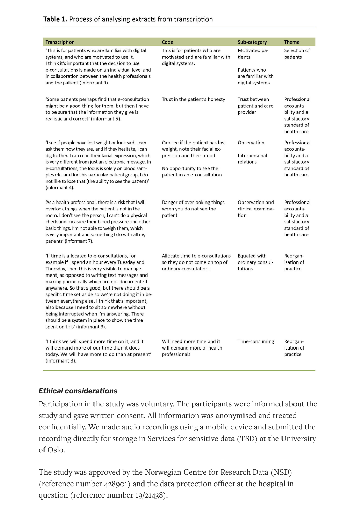|                                                                                                                                                                                                                                                                                                                                                                                                                                                                                                                                                                                                                                          | Code                                                                                                                                                                                       |                                                                                                               | <b>Theme</b>                                                                                                                                                                       |
|------------------------------------------------------------------------------------------------------------------------------------------------------------------------------------------------------------------------------------------------------------------------------------------------------------------------------------------------------------------------------------------------------------------------------------------------------------------------------------------------------------------------------------------------------------------------------------------------------------------------------------------|--------------------------------------------------------------------------------------------------------------------------------------------------------------------------------------------|---------------------------------------------------------------------------------------------------------------|------------------------------------------------------------------------------------------------------------------------------------------------------------------------------------|
| <b>Transcription</b>                                                                                                                                                                                                                                                                                                                                                                                                                                                                                                                                                                                                                     |                                                                                                                                                                                            | Sub-category                                                                                                  |                                                                                                                                                                                    |
| 'This is for patients who are familiar with digital<br>systems, and who are motivated to use it.<br>I think it's important that the decision to use<br>e-consultations is made on an individual level and<br>in collaboration between the health professionals                                                                                                                                                                                                                                                                                                                                                                           | This is for patients who are<br>motivated and are familiar with<br>digital systems.                                                                                                        | Motivated pa-<br>tients<br>Patients who<br>are familiar with                                                  | Selection of<br>patients                                                                                                                                                           |
| and the patient'(informant 9).<br>'Some patients perhaps find that e-consultation<br>might be a good thing for them, but then I have<br>to be sure that the information they give is<br>realistic and correct' (informant 5).<br>'I see if people have lost weight or look sad. I can<br>ask them how they are, and if they hesitate, I can<br>dig further. I can read their facial expression, which<br>is very different from just an electronic message. In<br>e-consultations, the focus is solely on blood sam-<br>ples etc. and for this particular patient group, I do<br>not like to lose that (the ability to see the patient)' | Trust in the patient's honesty<br>Can see if the patient has lost<br>weight, note their facial ex-<br>pression and their mood<br>No opportunity to see the<br>patient in an e-consultation | digital systems<br>Trust between<br>patient and care<br>provider<br>Observation<br>Interpersonal<br>relations | Professional<br>accounta-<br>bility and a<br>satisfactory<br>standard of<br>health care<br>Professional<br>accounta-<br>bility and a<br>satisfactory<br>standard of<br>health care |
| (informant 4).<br>'As a health professional, there is a risk that I will<br>overlook things when the patient is not in the<br>room. I don't see the person, I can't do a physical<br>check and measure their blood pressure and other<br>basic things. I'm not able to weigh them, which<br>is very important and something I do with all my<br>patients' (informant 7).                                                                                                                                                                                                                                                                 | Danger of overlooking things<br>when you do not see the<br>patient                                                                                                                         | Observation and<br>clinical examina-<br>tion                                                                  | Professional<br>accounta-<br>bility and a<br>satisfactory<br>standard of<br>health care                                                                                            |
| 'If time is allocated to e-consultations, for<br>example if I spend an hour every Tuesday and<br>Thursday, then this is very visible to manage-<br>ment, as opposed to writing text messages and<br>making phone calls which are not documented<br>anywhere. So that's good, but there should be a<br>specific time set aside so we're not doing it in be-<br>tween everything else. I think that's important,<br>also because I need to sit somewhere without<br>being interrupted when I'm answering. There<br>should be a system in place to show the time<br>spent on this' (informant 3).                                           | Allocate time to e-consultations<br>so they do not come on top of<br>ordinary consultations                                                                                                | Equated with<br>ordinary consul-<br>tations                                                                   | Reorgan-<br>isation of<br>practice                                                                                                                                                 |
| If think we will spend more time on it, and it<br>will demand more of our time than it does<br>today. We will have more to do than at present'<br>(informant 3).                                                                                                                                                                                                                                                                                                                                                                                                                                                                         | Will need more time and it<br>will demand more of health<br>professionals                                                                                                                  | Time-consuming                                                                                                | Reorgan-<br>isation of<br>practice                                                                                                                                                 |

#### *Ethical considerations*

Participation in the study was voluntary. The participants were informed about the study and gave written consent. All information was anonymised and treated confidentially. We made audio recordings using a mobile device and submitted the recording directly for storage in Services for sensitive data (TSD) at the University of Oslo.

The study was approved by the Norwegian Centre for Research Data (NSD) (reference number 428901) and the data protection officer at the hospital in question (reference number 19/21438).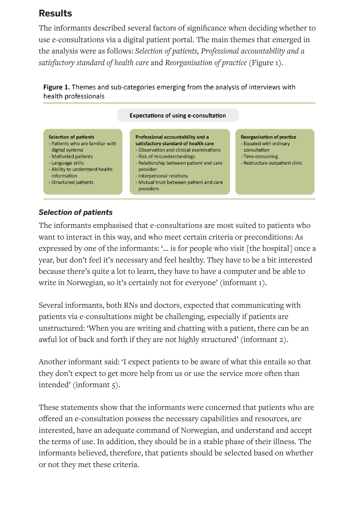## **Results**

The informants described several factors of significance when deciding whether to use e-consultations via a digital patient portal. The main themes that emerged in the analysis were as follows: *Selection of patients, Professional accountability and a satisfactory standard of health care* and *Reorganisation of practice* (Figure 1).

Figure 1. Themes and sub-categories emerging from the analysis of interviews with health professionals



#### *Selection of patients*

The informants emphasised that e-consultations are most suited to patients who want to interact in this way, and who meet certain criteria or preconditions: As expressed by one of the informants: '… is for people who visit [the hospital] once a year, but don't feel it's necessary and feel healthy. They have to be a bit interested because there's quite a lot to learn, they have to have a computer and be able to write in Norwegian, so it's certainly not for everyone' (informant 1).

Several informants, both RNs and doctors, expected that communicating with patients via e-consultations might be challenging, especially if patients are unstructured: 'When you are writing and chatting with a patient, there can be an awful lot of back and forth if they are not highly structured' (informant 2).

Another informant said: 'I expect patients to be aware of what this entails so that they don't expect to get more help from us or use the service more often than intended' (informant 5).

These statements show that the informants were concerned that patients who are offered an e-consultation possess the necessary capabilities and resources, are interested, have an adequate command of Norwegian, and understand and accept the terms of use. In addition, they should be in a stable phase of their illness. The informants believed, therefore, that patients should be selected based on whether or not they met these criteria.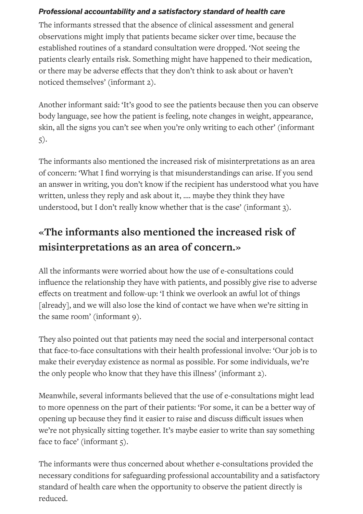#### *Professional accountability and a satisfactory standard of health care*

The informants stressed that the absence of clinical assessment and general observations might imply that patients became sicker over time, because the established routines of a standard consultation were dropped. 'Not seeing the patients clearly entails risk. Something might have happened to their medication, or there may be adverse effects that they don't think to ask about or haven't noticed themselves' (informant 2).

Another informant said: 'It's good to see the patients because then you can observe body language, see how the patient is feeling, note changes in weight, appearance, skin, all the signs you can't see when you're only writing to each other' (informant 5).

The informants also mentioned the increased risk of misinterpretations as an area of concern: 'What I find worrying is that misunderstandings can arise. If you send an answer in writing, you don't know if the recipient has understood what you have written, unless they reply and ask about it, …. maybe they think they have understood, but I don't really know whether that is the case' (informant 3).

## **«The informants also mentioned the increased risk of misinterpretations as an area of concern.»**

All the informants were worried about how the use of e-consultations could influence the relationship they have with patients, and possibly give rise to adverse effects on treatment and follow-up: 'I think we overlook an awful lot of things [already], and we will also lose the kind of contact we have when we're sitting in the same room' (informant 9).

They also pointed out that patients may need the social and interpersonal contact that face-to-face consultations with their health professional involve: 'Our job is to make their everyday existence as normal as possible. For some individuals, we're the only people who know that they have this illness' (informant 2).

Meanwhile, several informants believed that the use of e-consultations might lead to more openness on the part of their patients: 'For some, it can be a better way of opening up because they find it easier to raise and discuss difficult issues when we're not physically sitting together. It's maybe easier to write than say something face to face' (informant 5).

The informants were thus concerned about whether e-consultations provided the necessary conditions for safeguarding professional accountability and a satisfactory standard of health care when the opportunity to observe the patient directly is reduced.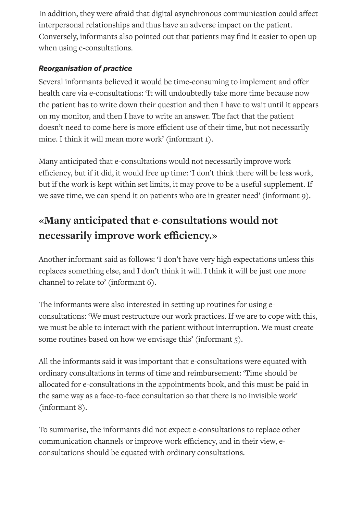In addition, they were afraid that digital asynchronous communication could affect interpersonal relationships and thus have an adverse impact on the patient. Conversely, informants also pointed out that patients may find it easier to open up when using e-consultations.

#### *Reorganisation of practice*

Several informants believed it would be time-consuming to implement and offer health care via e-consultations: 'It will undoubtedly take more time because now the patient has to write down their question and then I have to wait until it appears on my monitor, and then I have to write an answer. The fact that the patient doesn't need to come here is more efficient use of their time, but not necessarily mine. I think it will mean more work' (informant 1).

Many anticipated that e-consultations would not necessarily improve work efficiency, but if it did, it would free up time: 'I don't think there will be less work, but if the work is kept within set limits, it may prove to be a useful supplement. If we save time, we can spend it on patients who are in greater need' (informant 9).

# **«Many anticipated that e-consultations would not necessarily improve work eciency.»**

Another informant said as follows: 'I don't have very high expectations unless this replaces something else, and I don't think it will. I think it will be just one more channel to relate to' (informant 6).

The informants were also interested in setting up routines for using econsultations: 'We must restructure our work practices. If we are to cope with this, we must be able to interact with the patient without interruption. We must create some routines based on how we envisage this' (informant 5).

All the informants said it was important that e-consultations were equated with ordinary consultations in terms of time and reimbursement: 'Time should be allocated for e-consultations in the appointments book, and this must be paid in the same way as a face-to-face consultation so that there is no invisible work' (informant 8).

To summarise, the informants did not expect e-consultations to replace other communication channels or improve work efficiency, and in their view, econsultations should be equated with ordinary consultations.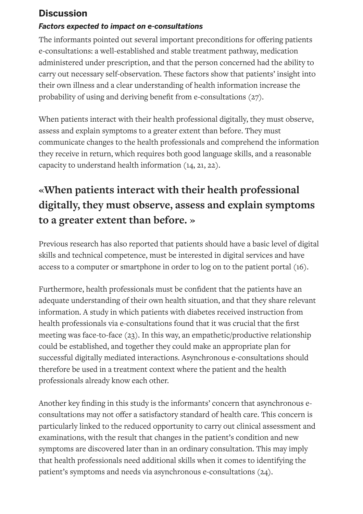## **Discussion**

#### *Factors expected to impact on e-consultations*

The informants pointed out several important preconditions for offering patients e-consultations: a well-established and stable treatment pathway, medication administered under prescription, and that the person concerned had the ability to carry out necessary self-observation. These factors show that patients' insight into their own illness and a clear understanding of health information increase the probability of using and deriving benefit from e-consultations (27).

When patients interact with their health professional digitally, they must observe, assess and explain symptoms to a greater extent than before. They must communicate changes to the health professionals and comprehend the information they receive in return, which requires both good language skills, and a reasonable capacity to understand health information (14, 21, 22).

# **«When patients interact with their health professional digitally, they must observe, assess and explain symptoms to a greater extent than before. »**

Previous research has also reported that patients should have a basic level of digital skills and technical competence, must be interested in digital services and have access to a computer or smartphone in order to log on to the patient portal (16).

Furthermore, health professionals must be confident that the patients have an adequate understanding of their own health situation, and that they share relevant information. A study in which patients with diabetes received instruction from health professionals via e-consultations found that it was crucial that the first meeting was face-to-face (23). In this way, an empathetic/productive relationship could be established, and together they could make an appropriate plan for successful digitally mediated interactions. Asynchronous e-consultations should therefore be used in a treatment context where the patient and the health professionals already know each other.

Another key finding in this study is the informants' concern that asynchronous econsultations may not offer a satisfactory standard of health care. This concern is particularly linked to the reduced opportunity to carry out clinical assessment and examinations, with the result that changes in the patient's condition and new symptoms are discovered later than in an ordinary consultation. This may imply that health professionals need additional skills when it comes to identifying the patient's symptoms and needs via asynchronous e-consultations (24).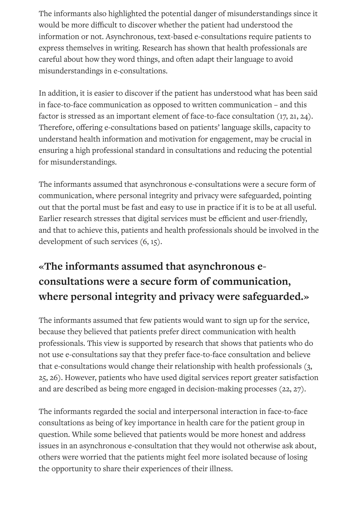The informants also highlighted the potential danger of misunderstandings since it would be more difficult to discover whether the patient had understood the information or not. Asynchronous, text-based e-consultations require patients to express themselves in writing. Research has shown that health professionals are careful about how they word things, and often adapt their language to avoid misunderstandings in e-consultations.

In addition, it is easier to discover if the patient has understood what has been said in face-to-face communication as opposed to written communication – and this factor is stressed as an important element of face-to-face consultation (17, 21, 24). Therefore, offering e-consultations based on patients' language skills, capacity to understand health information and motivation for engagement, may be crucial in ensuring a high professional standard in consultations and reducing the potential for misunderstandings.

The informants assumed that asynchronous e-consultations were a secure form of communication, where personal integrity and privacy were safeguarded, pointing out that the portal must be fast and easy to use in practice if it is to be at all useful. Earlier research stresses that digital services must be efficient and user-friendly, and that to achieve this, patients and health professionals should be involved in the development of such services  $(6, 15)$ .

# **«The informants assumed that asynchronous econsultations were a secure form of communication, where personal integrity and privacy were safeguarded.»**

The informants assumed that few patients would want to sign up for the service, because they believed that patients prefer direct communication with health professionals. This view is supported by research that shows that patients who do not use e-consultations say that they prefer face-to-face consultation and believe that e-consultations would change their relationship with health professionals (3, 25, 26). However, patients who have used digital services report greater satisfaction and are described as being more engaged in decision-making processes (22, 27).

The informants regarded the social and interpersonal interaction in face-to-face consultations as being of key importance in health care for the patient group in question. While some believed that patients would be more honest and address issues in an asynchronous e-consultation that they would not otherwise ask about, others were worried that the patients might feel more isolated because of losing the opportunity to share their experiences of their illness.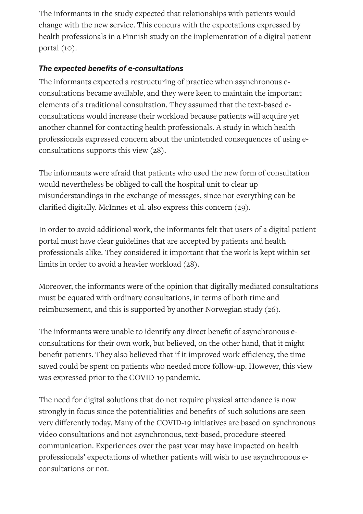The informants in the study expected that relationships with patients would change with the new service. This concurs with the expectations expressed by health professionals in a Finnish study on the implementation of a digital patient portal (10).

#### **The expected benefits of e-consultations**

The informants expected a restructuring of practice when asynchronous econsultations became available, and they were keen to maintain the important elements of a traditional consultation. They assumed that the text-based econsultations would increase their workload because patients will acquire yet another channel for contacting health professionals. A study in which health professionals expressed concern about the unintended consequences of using econsultations supports this view (28).

The informants were afraid that patients who used the new form of consultation would nevertheless be obliged to call the hospital unit to clear up misunderstandings in the exchange of messages, since not everything can be clarified digitally. McInnes et al. also express this concern (29).

In order to avoid additional work, the informants felt that users of a digital patient portal must have clear guidelines that are accepted by patients and health professionals alike. They considered it important that the work is kept within set limits in order to avoid a heavier workload (28).

Moreover, the informants were of the opinion that digitally mediated consultations must be equated with ordinary consultations, in terms of both time and reimbursement, and this is supported by another Norwegian study (26).

The informants were unable to identify any direct benefit of asynchronous econsultations for their own work, but believed, on the other hand, that it might benefit patients. They also believed that if it improved work efficiency, the time saved could be spent on patients who needed more follow-up. However, this view was expressed prior to the COVID-19 pandemic.

The need for digital solutions that do not require physical attendance is now strongly in focus since the potentialities and benefits of such solutions are seen very differently today. Many of the COVID-19 initiatives are based on synchronous video consultations and not asynchronous, text-based, procedure-steered communication. Experiences over the past year may have impacted on health professionals' expectations of whether patients will wish to use asynchronous econsultations or not.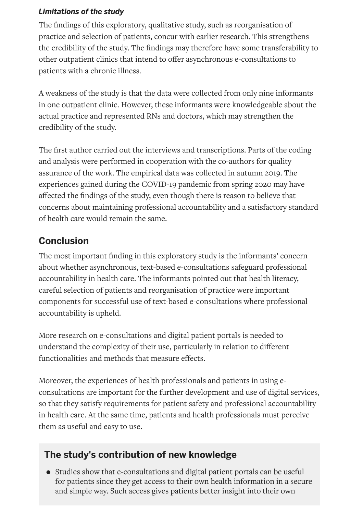#### *Limitations of the study*

The findings of this exploratory, qualitative study, such as reorganisation of practice and selection of patients, concur with earlier research. This strengthens the credibility of the study. The findings may therefore have some transferability to other outpatient clinics that intend to offer asynchronous e-consultations to patients with a chronic illness.

A weakness of the study is that the data were collected from only nine informants in one outpatient clinic. However, these informants were knowledgeable about the actual practice and represented RNs and doctors, which may strengthen the credibility of the study.

The first author carried out the interviews and transcriptions. Parts of the coding and analysis were performed in cooperation with the co-authors for quality assurance of the work. The empirical data was collected in autumn 2019. The experiences gained during the COVID-19 pandemic from spring 2020 may have affected the findings of the study, even though there is reason to believe that concerns about maintaining professional accountability and a satisfactory standard of health care would remain the same.

## **Conclusion**

The most important finding in this exploratory study is the informants' concern about whether asynchronous, text-based e-consultations safeguard professional accountability in health care. The informants pointed out that health literacy, careful selection of patients and reorganisation of practice were important components for successful use of text-based e-consultations where professional accountability is upheld.

More research on e-consultations and digital patient portals is needed to understand the complexity of their use, particularly in relation to different functionalities and methods that measure effects.

Moreover, the experiences of health professionals and patients in using econsultations are important for the further development and use of digital services, so that they satisfy requirements for patient safety and professional accountability in health care. At the same time, patients and health professionals must perceive them as useful and easy to use.

## **The study's contribution of new knowledge**

• Studies show that e-consultations and digital patient portals can be useful for patients since they get access to their own health information in a secure and simple way. Such access gives patients better insight into their own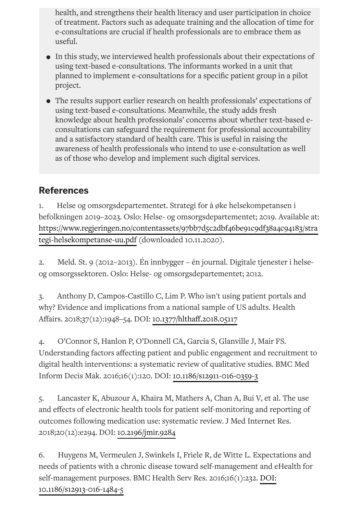health, and strengthens their health literacy and user participation in choice of treatment. Factors such as adequate training and the allocation of time for e-consultations are crucial if health professionals are to embrace them as useful.

- In this study, we interviewed health professionals about their expectations of using text-based e-consultations. The informants worked in a unit that planned to implement e-consultations for a specific patient group in a pilot project.
- The results support earlier research on health professionals' expectations of using text-based e-consultations. Meanwhile, the study adds fresh knowledge about health professionals' concerns about whether text-based econsultations can safeguard the requirement for professional accountability and a satisfactory standard of health care. This is useful in raising the awareness of health professionals who intend to use e-consultation as well as of those who develop and implement such digital services.

## **References**

1. Helse og omsorgsdepartementet. Strategi for å øke helsekompetansen i befolkningen 2019–2023. Oslo: Helse- og omsorgsdepartementet; 2019. Available at: [https://www.regjeringen.no/contentassets/97bb7d5c2dbf46be91c9df38a4c94183/stra](https://www.regjeringen.no/contentassets/97bb7d5c2dbf46be91c9df38a4c94183/strategi-helsekompetanse-uu.pdf) tegi-helsekompetanse-uu.pdf (downloaded 10.11.2020).

2. Meld. St. 9 (2012–2013). Én innbygger – én journal. Digitale tjenester i helseog omsorgssektoren. Oslo: Helse- og omsorgsdepartementet; 2012.

3. Anthony D, Campos-Castillo C, Lim P. Who isn't using patient portals and why? Evidence and implications from a national sample of US adults. Health Affairs. 2018;37(12):1948-54. DOI: 10.1377/hlthaff.2018.05117

4. O'Connor S, Hanlon P, O'Donnell CA, Garcia S, Glanville J, Mair FS. Understanding factors affecting patient and public engagement and recruitment to digital health interventions: a systematic review of qualitative studies. BMC Med Inform Decis Mak. 2016;16(1):120. DOI: [10.1186/s12911-016-0359-3](https://doi.org/10.1186/s12911-016-0359-3)

5. Lancaster K, Abuzour A, Khaira M, Mathers A, Chan A, Bui V, et al. The use and effects of electronic health tools for patient self-monitoring and reporting of outcomes following medication use: systematic review. J Med Internet Res. 2018;20(12):e294. DOI: [10.2196/jmir.9284](https://doi.org/10.2196/jmir.9284)

6. Huygens M, Vermeulen J, Swinkels I, Friele R, de Witte L. Expectations and needs of patients with a chronic disease toward self-management and eHealth for self-management purposes. BMC Health Serv Res. 2016;16(1):232. [DOI:](https://sykepleien.no/en/node/86348/pdf/%2010.1186/s12913-016-1484-5) [10.1186/s12913-016-1484-5](https://doi.org/10.1186/s12913-016-1484-5)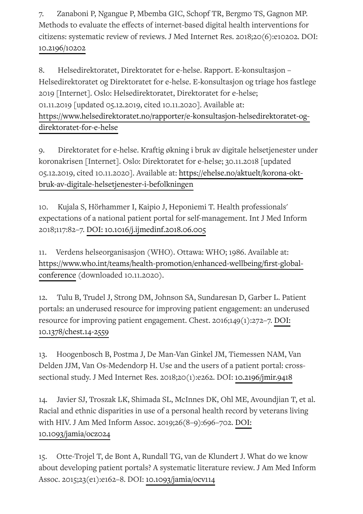7. Zanaboni P, Ngangue P, Mbemba GIC, Schopf TR, Bergmo TS, Gagnon MP. Methods to evaluate the effects of internet-based digital health interventions for citizens: systematic review of reviews. J Med Internet Res. 2018;20(6):e10202. DOI: [10.2196/10202](https://doi.org/10.2196/10202)

8. Helsedirektoratet, Direktoratet for e-helse. Rapport. E-konsultasjon – Helsedirektoratet og Direktoratet for e-helse. E-konsultasjon og triage hos fastlege 2019 [Internet]. Oslo: Helsedirektoratet, Direktoratet for e-helse; 01.11.2019 [updated 05.12.2019, cited 10.11.2020]. Available at: [https://www.helsedirektoratet.no/rapporter/e-konsultasjon-helsedirektoratet-og](https://www.helsedirektoratet.no/rapporter/e-konsultasjon-helsedirektoratet-og-direktoratet-for-e-helse)direktoratet-for-e-helse

9. Direktoratet for e-helse. Kraftig økning i bruk av digitale helsetjenester under koronakrisen [Internet]. Oslo: Direktoratet for e-helse; 30.11.2018 [updated 05.12.2019, cited 10.11.2020]. Available at: https://ehelse.no/aktuelt/korona-okt[bruk-av-digitale-helsetjenester-i-befolkningen](https://ehelse.no/aktuelt/korona-okt-bruk-av-digitale-helsetjenester-i-befolkningen)

10. Kujala S, Hörhammer I, Kaipio J, Heponiemi T. Health professionals' expectations of a national patient portal for self-management. Int J Med Inform 2018;117:82–7. [DOI:](https://sykepleien.no/en/node/86348/pdf/%2010.1016/j.ijmedinf.2018.06.005) [10.1016/j.ijmedinf.2018.06.005](https://doi.org/10.1016/j.ijmedinf.2018.06.005)

11. Verdens helseorganisasjon (WHO). Ottawa: WHO; 1986. Available at: https://www.who.int/teams/health-promotion/enhanced-wellbeing/first-globalconference (downloaded 10.11.2020).

12. Tulu B, Trudel J, Strong DM, Johnson SA, Sundaresan D, Garber L. Patient portals: an underused resource for improving patient engagement: an underused resource for improving patient engagement. Chest. 2016;149(1):272–7. [DOI:](https://sykepleien.no/en/node/86348/pdf/%2010.1378/chest.14-2559) [10.1378/chest.14-2559](https://doi.org/10.1378/chest.14-2559)

13. Hoogenbosch B, Postma J, De Man-Van Ginkel JM, Tiemessen NAM, Van Delden JJM, Van Os-Medendorp H. Use and the users of a patient portal: crosssectional study. J Med Internet Res. 2018;20(1):e262. DOI: [10.2196/jmir.9418](https://doi.org/10.2196/jmir.9418)

14. Javier SJ, Troszak LK, Shimada SL, McInnes DK, Ohl ME, Avoundjian T, et al. Racial and ethnic disparities in use of a personal health record by veterans living with HIV. J Am Med Inform Assoc. 2019;26(8–9):696–702. [DOI:](https://sykepleien.no/en/node/86348/pdf/%2010.1093/jamia/ocz024) [10.1093/jamia/ocz024](https://doi.org/10.1093/jamia/ocz024)

15. Otte-Trojel T, de Bont A, Rundall TG, van de Klundert J. What do we know about developing patient portals? A systematic literature review. J Am Med Inform Assoc. 2015;23(e1):e162–8. DOI: [10.1093/jamia/ocv114](https://doi.org/10.1093/jamia/ocv114)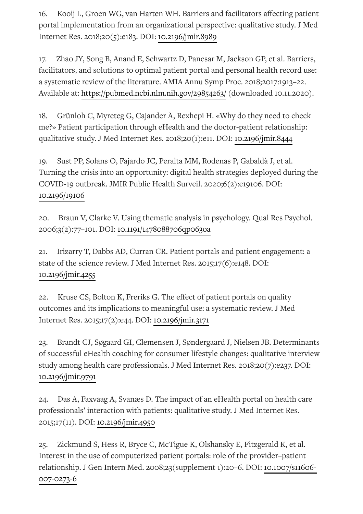16. Kooij L, Groen WG, van Harten WH. Barriers and facilitators affecting patient portal implementation from an organizational perspective: qualitative study. J Med Internet Res. 2018;20(5):e183. DOI: [10.2196/jmir.8989](https://doi.org/10.2196/jmir.8989)

17. Zhao JY, Song B, Anand E, Schwartz D, Panesar M, Jackson GP, et al. Barriers, facilitators, and solutions to optimal patient portal and personal health record use: a systematic review of the literature. AMIA Annu Symp Proc. 2018;2017:1913–22. Available at: <https://pubmed.ncbi.nlm.nih.gov/29854263/> (downloaded 10.11.2020).

18. Grünloh C, Myreteg G, Cajander Å, Rexhepi H. «Why do they need to check me?» Patient participation through eHealth and the doctor-patient relationship: qualitative study. J Med Internet Res. 2018;20(1):e11. DOI: [10.2196/jmir.8444](https://doi.org/10.2196/jmir.8444)

19. Sust PP, Solans O, Fajardo JC, Peralta MM, Rodenas P, Gabaldà J, et al. Turning the crisis into an opportunity: digital health strategies deployed during the COVID-19 outbreak. JMIR Public Health Surveil. 2020;6(2):e19106. DOI: [10.2196/19106](https://doi.org/10.2196/19106)

20. Braun V, Clarke V. Using thematic analysis in psychology. Qual Res Psychol. 2006;3(2):77–101. DOI: [10.1191/1478088706qp063oa](https://doi.org/10.1191/1478088706qp063oa)

21. Irizarry T, Dabbs AD, Curran CR. Patient portals and patient engagement: a state of the science review. J Med Internet Res. 2015;17(6):e148. DOI: [10.2196/jmir.4255](https://doi.org/10.2196/jmir.4255)

22. Kruse CS, Bolton K, Freriks G. The effect of patient portals on quality outcomes and its implications to meaningful use: a systematic review. J Med Internet Res. 2015;17(2):e44. DOI: [10.2196/jmir.3171](https://doi.org/10.2196/jmir.3171)

23. Brandt CJ, Søgaard GI, Clemensen J, Søndergaard J, Nielsen JB. Determinants of successful eHealth coaching for consumer lifestyle changes: qualitative interview study among health care professionals. J Med Internet Res. 2018;20(7):e237. DOI: [10.2196/jmir.9791](https://doi.org/10.2196/jmir.9791)

24. Das A, Faxvaag A, Svanæs D. The impact of an eHealth portal on health care professionals' interaction with patients: qualitative study. J Med Internet Res. 2015;17(11). DOI: [10.2196/jmir.4950](https://doi.org/10.2196/jmir.4950)

25. Zickmund S, Hess R, Bryce C, McTigue K, Olshansky E, Fitzgerald K, et al. Interest in the use of computerized patient portals: role of the provider–patient relationship. J Gen Intern Med. [2008;23\(supplement](https://doi.org/10.1007/s11606-007-0273-6) 1):20–6. DOI: 10.1007/s11606- 007-0273-6